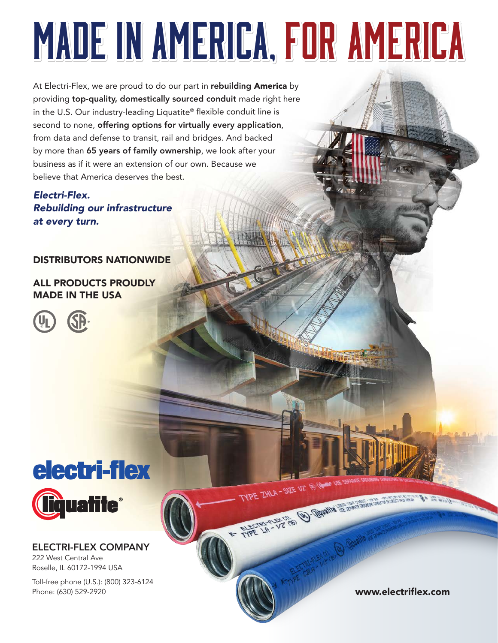# Made in America, for America Made in America, for America

At Electri-Flex, we are proud to do our part in rebuilding America by providing top-quality, domestically sourced conduit made right here in the U.S. Our industry-leading Liquatite® flexible conduit line is second to none, offering options for virtually every application, from data and defense to transit, rail and bridges. And backed by more than 65 years of family ownership, we look after your business as if it were an extension of our own. Because we believe that America deserves the best.

Electri-Flex. *Rebuilding our infrastructure* at every turn.

#### DISTRIBUTORS NATIONWIDE

ALL PRODUCTS PROUDLY MADE IN THE USA





ELECTRI-FLEX COMPANY 222 West Central Ave Roselle, IL 60172-1994 USA

Toll-free phone (U.S.): (800) 323-6124 Phone: (630) 529-2920 **www.electriflex.com** 

TYPE ZHLA - SIZE 1/2" (b) (de a la campanguage de a la campanguage de la campanguage de la campanguage de la

 $\sqrt{2}$